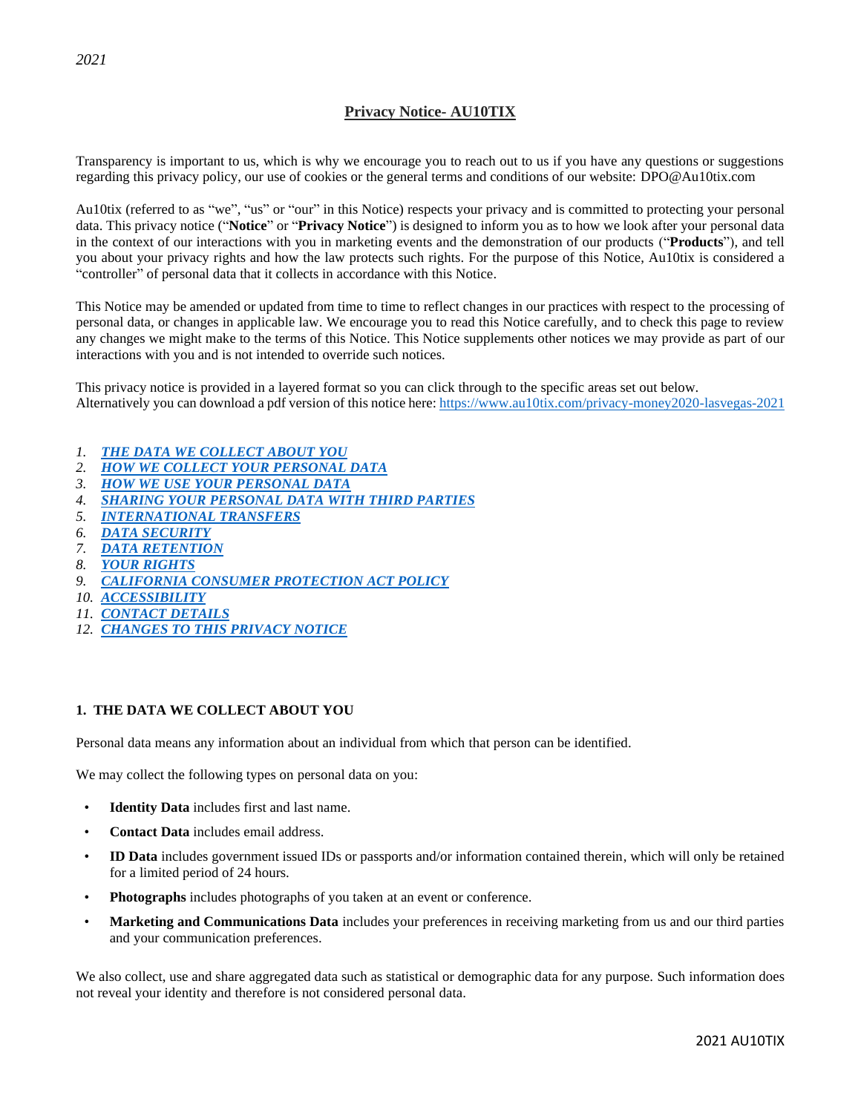# **Privacy Notice- AU10TIX**

Transparency is important to us, which is why we encourage you to reach out to us if you have any questions or suggestions regarding this privacy policy, our use of cookies or the general terms and conditions of our website: DPO@Au10tix.com

Au10tix (referred to as "we", "us" or "our" in this Notice) respects your privacy and is committed to protecting your personal data. This privacy notice ("**Notice**" or "**Privacy Notice**") is designed to inform you as to how we look after your personal data in the context of our interactions with you in marketing events and the demonstration of our products ("**Products**"), and tell you about your privacy rights and how the law protects such rights. For the purpose of this Notice, Au10tix is considered a "controller" of personal data that it collects in accordance with this Notice.

This Notice may be amended or updated from time to time to reflect changes in our practices with respect to the processing of personal data, or changes in applicable law. We encourage you to read this Notice carefully, and to check this page to review any changes we might make to the terms of this Notice. This Notice supplements other notices we may provide as part of our interactions with you and is not intended to override such notices.

This privacy notice is provided in a layered format so you can click through to the specific areas set out below. Alternatively you can download a pdf version of this notice here[: https://www.au10tix.com/privacy-money2020-lasvegas-2021](https://www.au10tix.com/privacy-money2020-lasvegas-2021)

- *1. THE DATA WE COLLECT ABOUT YOU*
- *2. HOW WE COLLECT YOUR PERSONAL DATA*
- *3. HOW WE USE YOUR PERSONAL DATA*
- *4. SHARING YOUR PERSONAL DATA WITH THIRD PARTIES*
- *5. INTERNATIONAL TRANSFERS*
- *6. DATA SECURITY*
- *7. DATA RETENTION*
- *8. YOUR RIGHTS*
- *9. CALIFORNIA CONSUMER PROTECTION ACT POLICY*
- *10. ACCESSIBILITY*
- *11. CONTACT DETAILS*
- *12. CHANGES TO THIS PRIVACY NOTICE*

### **1. THE DATA WE COLLECT ABOUT YOU**

Personal data means any information about an individual from which that person can be identified.

We may collect the following types on personal data on you:

- **Identity Data** includes first and last name.
- **Contact Data** includes email address.
- **ID Data** includes government issued IDs or passports and/or information contained therein, which will only be retained for a limited period of 24 hours.
- **Photographs** includes photographs of you taken at an event or conference.
- **Marketing and Communications Data** includes your preferences in receiving marketing from us and our third parties and your communication preferences.

We also collect, use and share aggregated data such as statistical or demographic data for any purpose. Such information does not reveal your identity and therefore is not considered personal data.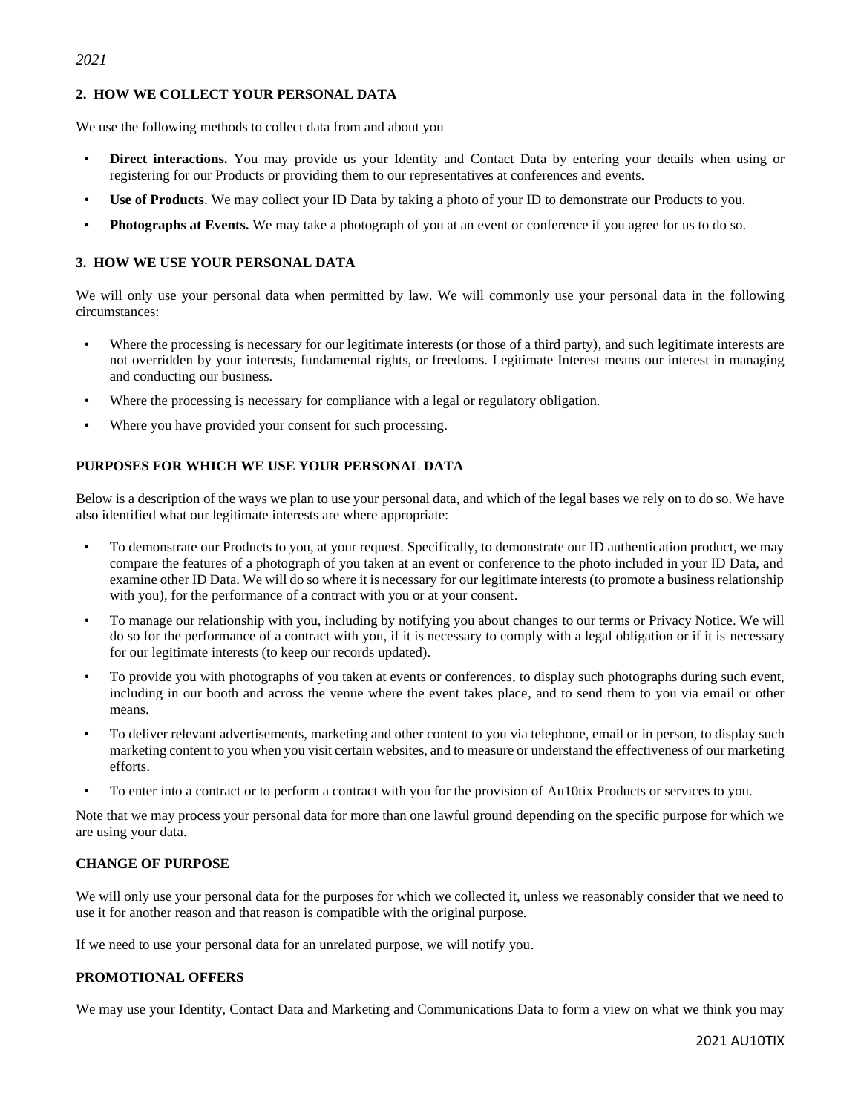## **2. HOW WE COLLECT YOUR PERSONAL DATA**

We use the following methods to collect data from and about you

- **Direct interactions.** You may provide us your Identity and Contact Data by entering your details when using or registering for our Products or providing them to our representatives at conferences and events.
- **Use of Products**. We may collect your ID Data by taking a photo of your ID to demonstrate our Products to you.
- **Photographs at Events.** We may take a photograph of you at an event or conference if you agree for us to do so.

### **3. HOW WE USE YOUR PERSONAL DATA**

We will only use your personal data when permitted by law. We will commonly use your personal data in the following circumstances:

- Where the processing is necessary for our legitimate interests (or those of a third party), and such legitimate interests are not overridden by your interests, fundamental rights, or freedoms. Legitimate Interest means our interest in managing and conducting our business.
- Where the processing is necessary for compliance with a legal or regulatory obligation.
- Where you have provided your consent for such processing.

## **PURPOSES FOR WHICH WE USE YOUR PERSONAL DATA**

Below is a description of the ways we plan to use your personal data, and which of the legal bases we rely on to do so. We have also identified what our legitimate interests are where appropriate:

- To demonstrate our Products to you, at your request. Specifically, to demonstrate our ID authentication product, we may compare the features of a photograph of you taken at an event or conference to the photo included in your ID Data, and examine other ID Data. We will do so where it is necessary for our legitimate interests (to promote a business relationship with you), for the performance of a contract with you or at your consent.
- To manage our relationship with you, including by notifying you about changes to our terms or Privacy Notice. We will do so for the performance of a contract with you, if it is necessary to comply with a legal obligation or if it is necessary for our legitimate interests (to keep our records updated).
- To provide you with photographs of you taken at events or conferences, to display such photographs during such event, including in our booth and across the venue where the event takes place, and to send them to you via email or other means.
- To deliver relevant advertisements, marketing and other content to you via telephone, email or in person, to display such marketing content to you when you visit certain websites, and to measure or understand the effectiveness of our marketing efforts.
- To enter into a contract or to perform a contract with you for the provision of Au10tix Products or services to you.

Note that we may process your personal data for more than one lawful ground depending on the specific purpose for which we are using your data.

### **CHANGE OF PURPOSE**

We will only use your personal data for the purposes for which we collected it, unless we reasonably consider that we need to use it for another reason and that reason is compatible with the original purpose.

If we need to use your personal data for an unrelated purpose, we will notify you.

## **PROMOTIONAL OFFERS**

We may use your Identity, Contact Data and Marketing and Communications Data to form a view on what we think you may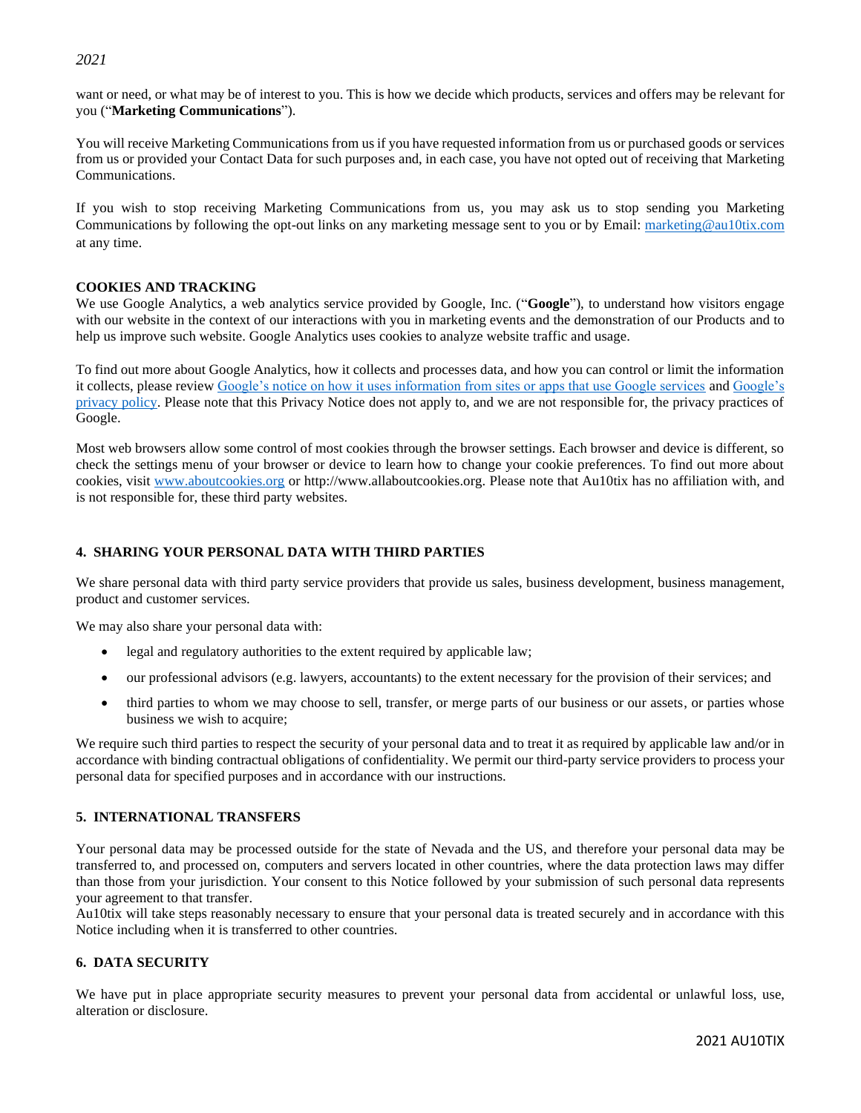want or need, or what may be of interest to you. This is how we decide which products, services and offers may be relevant for you ("**Marketing Communications**").

You will receive Marketing Communications from us if you have requested information from us or purchased goods or services from us or provided your Contact Data for such purposes and, in each case, you have not opted out of receiving that Marketing Communications.

If you wish to stop receiving Marketing Communications from us, you may ask us to stop sending you Marketing Communications by following the opt-out links on any marketing message sent to you or by Email: [marketing@au10tix.com](mailto:marketing@au10tix.com) at any time.

### **COOKIES AND TRACKING**

We use Google Analytics, a web analytics service provided by Google, Inc. ("**Google**"), to understand how visitors engage with our website in the context of our interactions with you in marketing events and the demonstration of our Products and to help us improve such website. Google Analytics uses cookies to analyze website traffic and usage.

To find out more about Google Analytics, how it collects and processes data, and how you can control or limit the information it collects, please review [Google's notice on how it uses information from sites or apps that use Google services](https://policies.google.com/technologies/partner-sites?hl=en-GB) and Google's [privacy policy.](https://policies.google.com/privacy?hl=en-GB) Please note that this Privacy Notice does not apply to, and we are not responsible for, the privacy practices of Google.

Most web browsers allow some control of most cookies through the browser settings. Each browser and device is different, so check the settings menu of your browser or device to learn how to change your cookie preferences. To find out more about cookies, visi[t www.aboutcookies.org](http://www.aboutcookies.org/) or [http://www.allaboutcookies.org.](http://www.allaboutcookies.org/) Please note that Au10tix has no affiliation with, and is not responsible for, these third party websites.

### **4. SHARING YOUR PERSONAL DATA WITH THIRD PARTIES**

We share personal data with third party service providers that provide us sales, business development, business management, product and customer services.

We may also share your personal data with:

- legal and regulatory authorities to the extent required by applicable law;
- our professional advisors (e.g. lawyers, accountants) to the extent necessary for the provision of their services; and
- third parties to whom we may choose to sell, transfer, or merge parts of our business or our assets, or parties whose business we wish to acquire;

We require such third parties to respect the security of your personal data and to treat it as required by applicable law and/or in accordance with binding contractual obligations of confidentiality. We permit our third-party service providers to process your personal data for specified purposes and in accordance with our instructions.

### **5. INTERNATIONAL TRANSFERS**

Your personal data may be processed outside for the state of Nevada and the US, and therefore your personal data may be transferred to, and processed on, computers and servers located in other countries, where the data protection laws may differ than those from your jurisdiction. Your consent to this Notice followed by your submission of such personal data represents your agreement to that transfer.

Au10tix will take steps reasonably necessary to ensure that your personal data is treated securely and in accordance with this Notice including when it is transferred to other countries.

## **6. DATA SECURITY**

We have put in place appropriate security measures to prevent your personal data from accidental or unlawful loss, use, alteration or disclosure.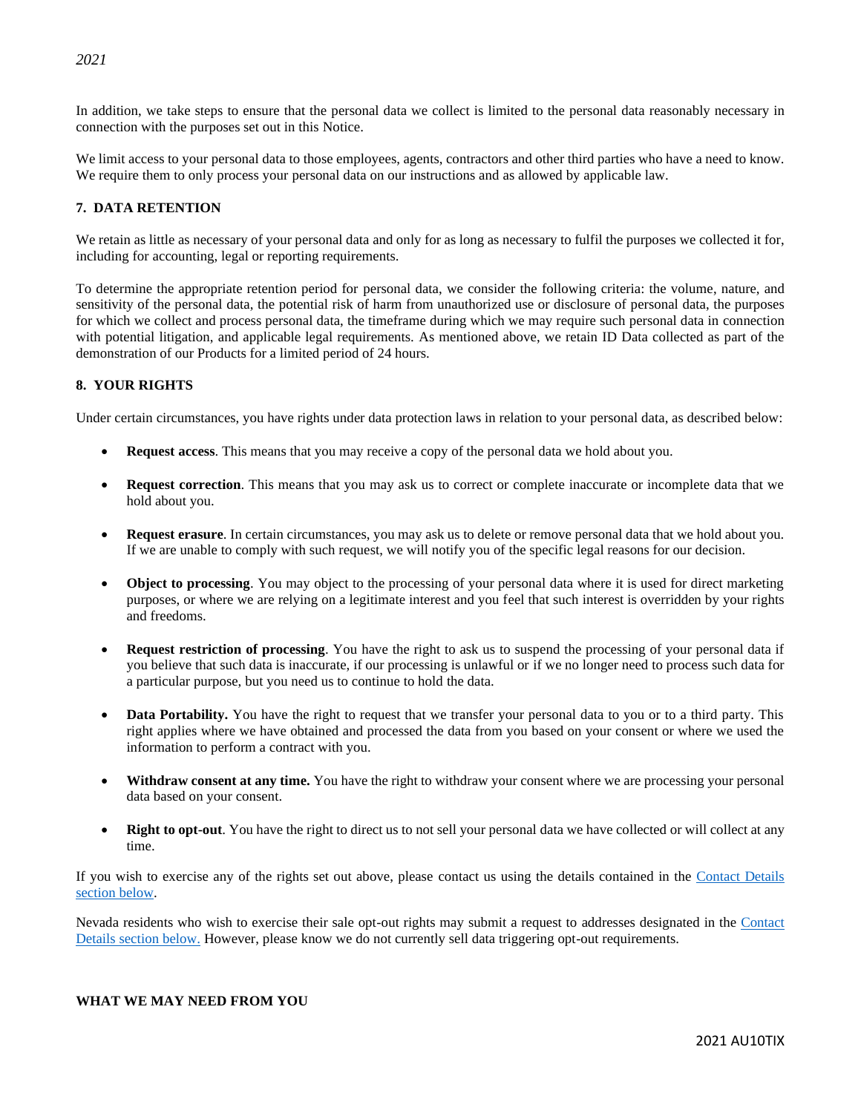In addition, we take steps to ensure that the personal data we collect is limited to the personal data reasonably necessary in connection with the purposes set out in this Notice.

We limit access to your personal data to those employees, agents, contractors and other third parties who have a need to know. We require them to only process your personal data on our instructions and as allowed by applicable law.

## **7. DATA RETENTION**

We retain as little as necessary of your personal data and only for as long as necessary to fulfil the purposes we collected it for, including for accounting, legal or reporting requirements.

To determine the appropriate retention period for personal data, we consider the following criteria: the volume, nature, and sensitivity of the personal data, the potential risk of harm from unauthorized use or disclosure of personal data, the purposes for which we collect and process personal data, the timeframe during which we may require such personal data in connection with potential litigation, and applicable legal requirements. As mentioned above, we retain ID Data collected as part of the demonstration of our Products for a limited period of 24 hours.

### **8. YOUR RIGHTS**

Under certain circumstances, you have rights under data protection laws in relation to your personal data, as described below:

- **Request access**. This means that you may receive a copy of the personal data we hold about you.
- **Request correction**. This means that you may ask us to correct or complete inaccurate or incomplete data that we hold about you.
- **Request erasure**. In certain circumstances, you may ask us to delete or remove personal data that we hold about you. If we are unable to comply with such request, we will notify you of the specific legal reasons for our decision.
- **Object to processing**. You may object to the processing of your personal data where it is used for direct marketing purposes, or where we are relying on a legitimate interest and you feel that such interest is overridden by your rights and freedoms.
- **Request restriction of processing**. You have the right to ask us to suspend the processing of your personal data if you believe that such data is inaccurate, if our processing is unlawful or if we no longer need to process such data for a particular purpose, but you need us to continue to hold the data.
- **Data Portability.** You have the right to request that we transfer your personal data to you or to a third party. This right applies where we have obtained and processed the data from you based on your consent or where we used the information to perform a contract with you.
- **Withdraw consent at any time.** You have the right to withdraw your consent where we are processing your personal data based on your consent.
- **Right to opt-out**. You have the right to direct us to not sell your personal data we have collected or will collect at any time.

If you wish to exercise any of the rights set out above, please contact us using the details contained in the Contact Details section below.

Nevada residents who wish to exercise their sale opt-out rights may submit a request to addresses designated in the Contact Details section below. However, please know we do not currently sell data triggering opt-out requirements.

### **WHAT WE MAY NEED FROM YOU**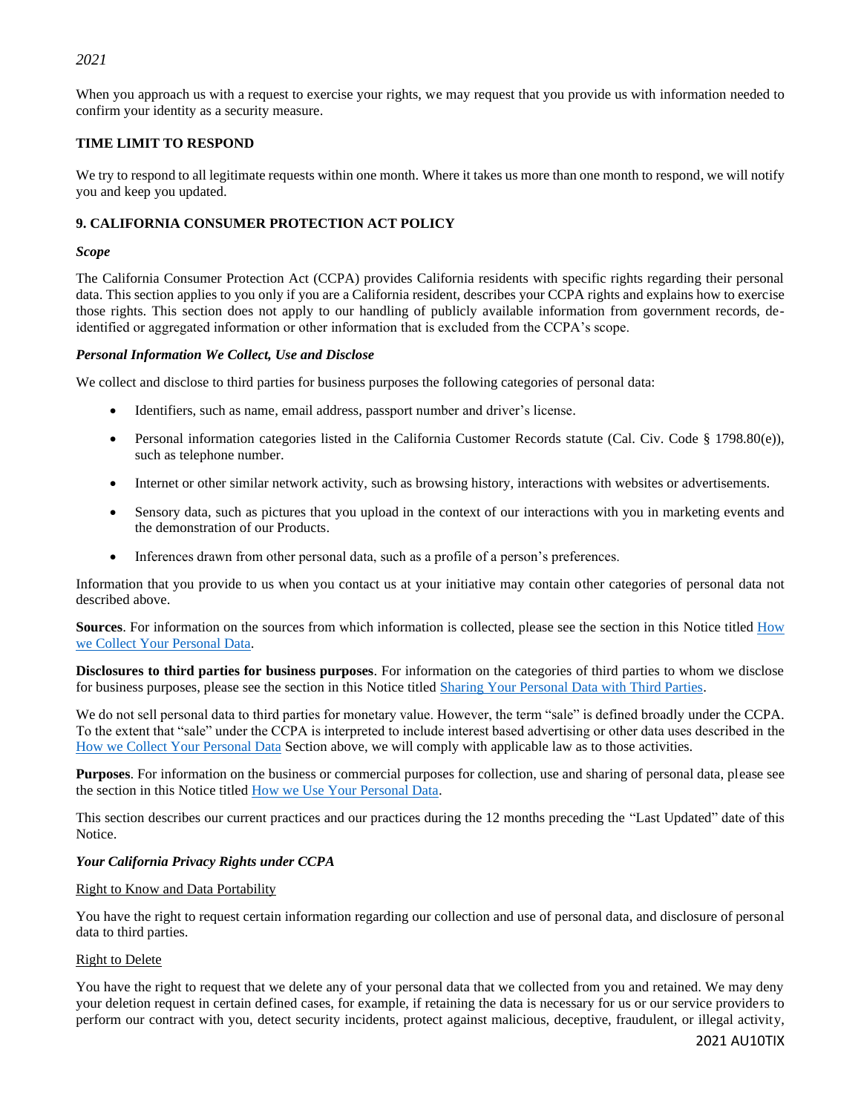When you approach us with a request to exercise your rights, we may request that you provide us with information needed to confirm your identity as a security measure.

## **TIME LIMIT TO RESPOND**

We try to respond to all legitimate requests within one month. Where it takes us more than one month to respond, we will notify you and keep you updated.

## **9. CALIFORNIA CONSUMER PROTECTION ACT POLICY**

### *Scope*

The California Consumer Protection Act (CCPA) provides California residents with specific rights regarding their personal data. This section applies to you only if you are a California resident, describes your CCPA rights and explains how to exercise those rights. This section does not apply to our handling of publicly available information from government records, deidentified or aggregated information or other information that is excluded from the CCPA's scope.

## *Personal Information We Collect, Use and Disclose*

We collect and disclose to third parties for business purposes the following categories of personal data:

- Identifiers, such as name, email address, passport number and driver's license.
- Personal information categories listed in the California Customer Records statute (Cal. Civ. Code § 1798.80(e)), such as telephone number.
- Internet or other similar network activity, such as browsing history, interactions with websites or advertisements.
- Sensory data, such as pictures that you upload in the context of our interactions with you in marketing events and the demonstration of our Products.
- Inferences drawn from other personal data, such as a profile of a person's preferences.

Information that you provide to us when you contact us at your initiative may contain other categories of personal data not described above.

**Sources**. For information on the sources from which information is collected, please see the section in this Notice titled How we Collect Your Personal Data.

**Disclosures to third parties for business purposes**. For information on the categories of third parties to whom we disclose for business purposes, please see the section in this Notice titled Sharing Your Personal Data with Third Parties.

We do not sell personal data to third parties for monetary value. However, the term "sale" is defined broadly under the CCPA. To the extent that "sale" under the CCPA is interpreted to include interest based advertising or other data uses described in the How we Collect Your Personal Data Section above, we will comply with applicable law as to those activities.

**Purposes**. For information on the business or commercial purposes for collection, use and sharing of personal data, please see the section in this Notice titled How we Use Your Personal Data.

This section describes our current practices and our practices during the 12 months preceding the "Last Updated" date of this Notice.

## *Your California Privacy Rights under CCPA*

### Right to Know and Data Portability

You have the right to request certain information regarding our collection and use of personal data, and disclosure of personal data to third parties.

### Right to Delete

You have the right to request that we delete any of your personal data that we collected from you and retained. We may deny your deletion request in certain defined cases, for example, if retaining the data is necessary for us or our service providers to perform our contract with you, detect security incidents, protect against malicious, deceptive, fraudulent, or illegal activity,